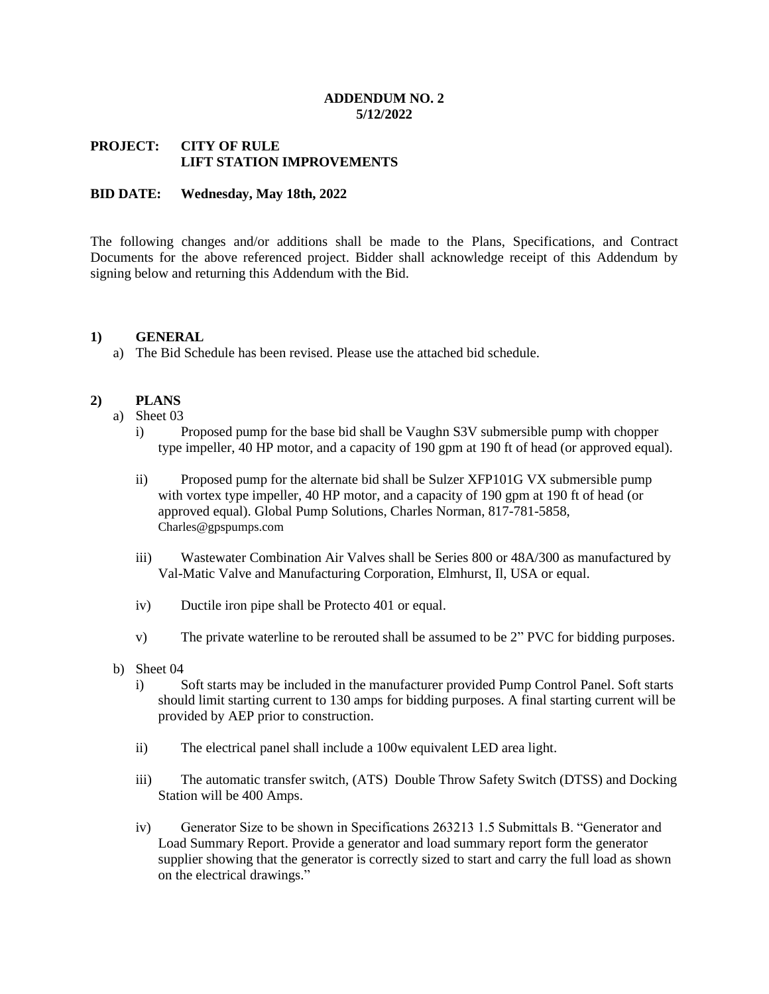### **ADDENDUM NO. 2 5/12/2022**

# **PROJECT: CITY OF RULE LIFT STATION IMPROVEMENTS**

## **BID DATE: Wednesday, May 18th, 2022**

The following changes and/or additions shall be made to the Plans, Specifications, and Contract Documents for the above referenced project. Bidder shall acknowledge receipt of this Addendum by signing below and returning this Addendum with the Bid.

### **1) GENERAL**

a) The Bid Schedule has been revised. Please use the attached bid schedule.

## **2) PLANS**

- a) Sheet 03
	- i) Proposed pump for the base bid shall be Vaughn S3V submersible pump with chopper type impeller, 40 HP motor, and a capacity of 190 gpm at 190 ft of head (or approved equal).
	- ii) Proposed pump for the alternate bid shall be Sulzer XFP101G VX submersible pump with vortex type impeller, 40 HP motor, and a capacity of 190 gpm at 190 ft of head (or approved equal). Global Pump Solutions, Charles Norman, 817-781-5858, [Charles@gpspumps.com](mailto:Charles@gpspumps.com)
	- iii) Wastewater Combination Air Valves shall be Series 800 or 48A/300 as manufactured by Val-Matic Valve and Manufacturing Corporation, Elmhurst, Il, USA or equal.
	- iv) Ductile iron pipe shall be Protecto 401 or equal.
	- v) The private waterline to be rerouted shall be assumed to be 2" PVC for bidding purposes.
- b) Sheet 04
	- i) Soft starts may be included in the manufacturer provided Pump Control Panel. Soft starts should limit starting current to 130 amps for bidding purposes. A final starting current will be provided by AEP prior to construction.
	- ii) The electrical panel shall include a 100w equivalent LED area light.
	- iii) The automatic transfer switch, (ATS) Double Throw Safety Switch (DTSS) and Docking Station will be 400 Amps.
	- iv) Generator Size to be shown in Specifications 263213 1.5 Submittals B. "Generator and Load Summary Report. Provide a generator and load summary report form the generator supplier showing that the generator is correctly sized to start and carry the full load as shown on the electrical drawings."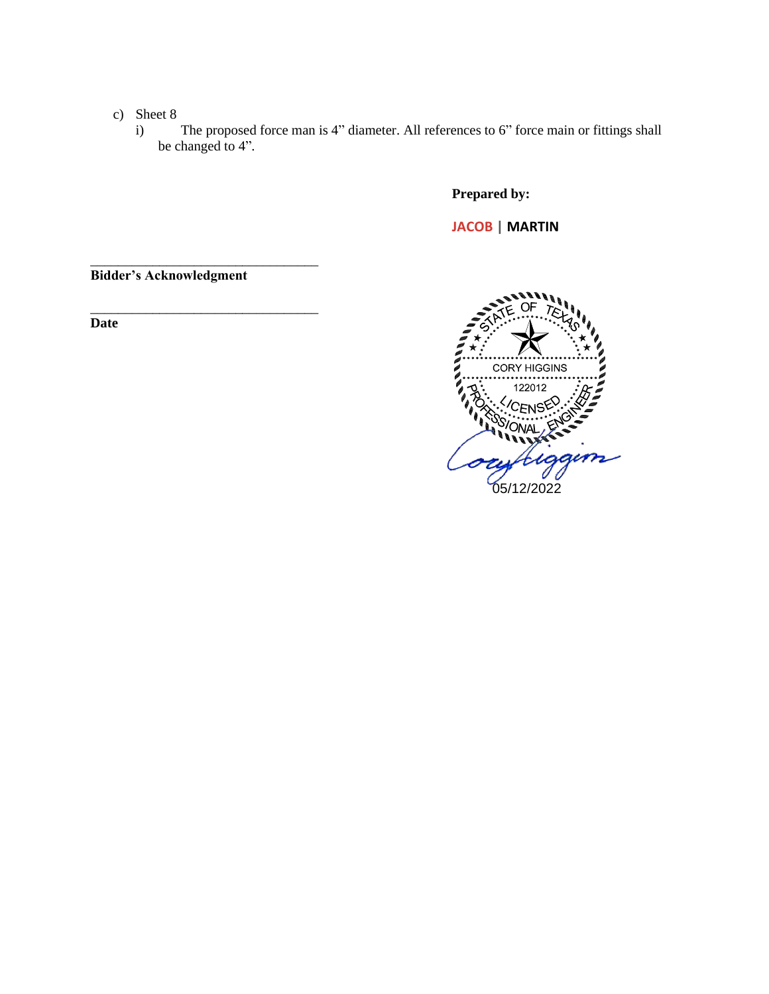- c) Sheet 8
	- i) The proposed force man is 4" diameter. All references to 6" force main or fittings shall be changed to 4".

**Prepared by:**

**JACOB | MARTIN**

**Bidder's Acknowledgment**

\_\_\_\_\_\_\_\_\_\_\_\_\_\_\_\_\_\_\_\_\_\_\_\_\_\_\_\_\_\_\_\_\_

\_\_\_\_\_\_\_\_\_\_\_\_\_\_\_\_\_\_\_\_\_\_\_\_\_\_\_\_\_\_\_\_\_

**Date**